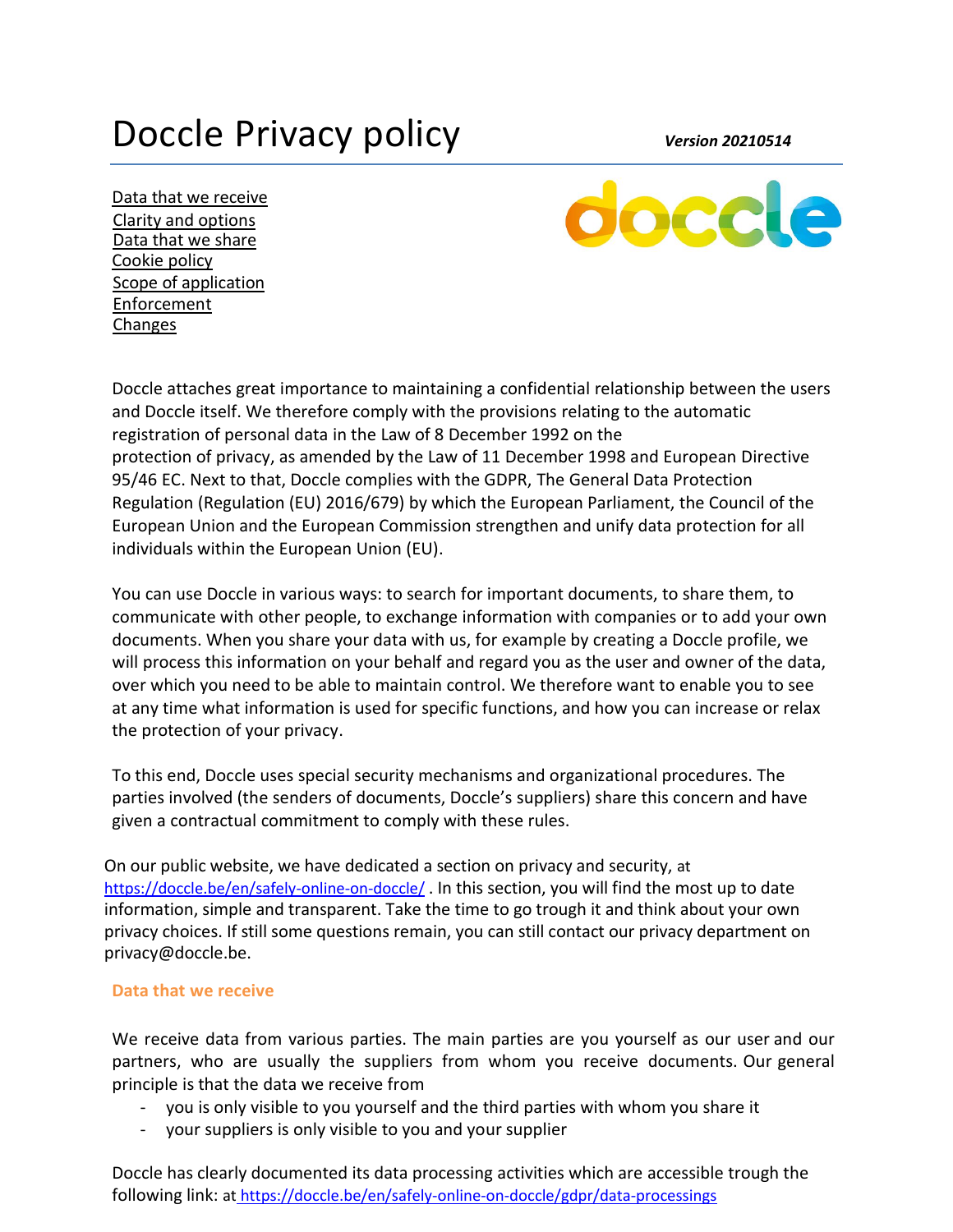# Doccle Privacy policy *Version 20210514*

Data that we receive Clarity and options Data that we share Cookie policy Scope of application Enforcement **Changes** 



Doccle attaches great importance to maintaining a confidential relationship between the users and Doccle itself. We therefore comply with the provisions relating to the automatic registration of personal data in the Law of 8 December 1992 on the protection of privacy, as amended by the Law of 11 December 1998 and European Directive 95/46 EC. Next to that, Doccle complies with the GDPR, The General Data Protection Regulation (Regulation (EU) 2016/679) by which the European Parliament, the Council of the European Union and the European Commission strengthen and unify data protection for all individuals within the European Union (EU).

You can use Doccle in various ways: to search for important documents, to share them, to communicate with other people, to exchange information with companies or to add your own documents. When you share your data with us, for example by creating a Doccle profile, we will process this information on your behalf and regard you as the user and owner of the data, over which you need to be able to maintain control. We therefore want to enable you to see at any time what information is used for specific functions, and how you can increase or relax the protection of your privacy.

To this end, Doccle uses special security mechanisms and organizational procedures. The parties involved (the senders of documents, Doccle's suppliers) share this concern and have given a contractual commitment to comply with these rules.

On our public website, we have dedicated a section on privacy and security, at <https://doccle.be/en/safely-online-on-doccle/>. In this section, you will find the most up to date information, simple and transparent. Take the time to go trough it and think about your own privacy choices. If still some questions remain, you can still contact our privacy department on privacy@doccle.be.

#### **Data that we receive**

We receive data from various parties. The main parties are you yourself as our user and our partners, who are usually the suppliers from whom you receive documents. Our general principle is that the data we receive from

- you is only visible to you yourself and the third parties with whom you share it
- your suppliers is only visible to you and your supplier

Doccle has clearly documented its data processing activities which are accessible trough the following link: at <https://doccle.be/en/safely-online-on-doccle/gdpr/data-processings>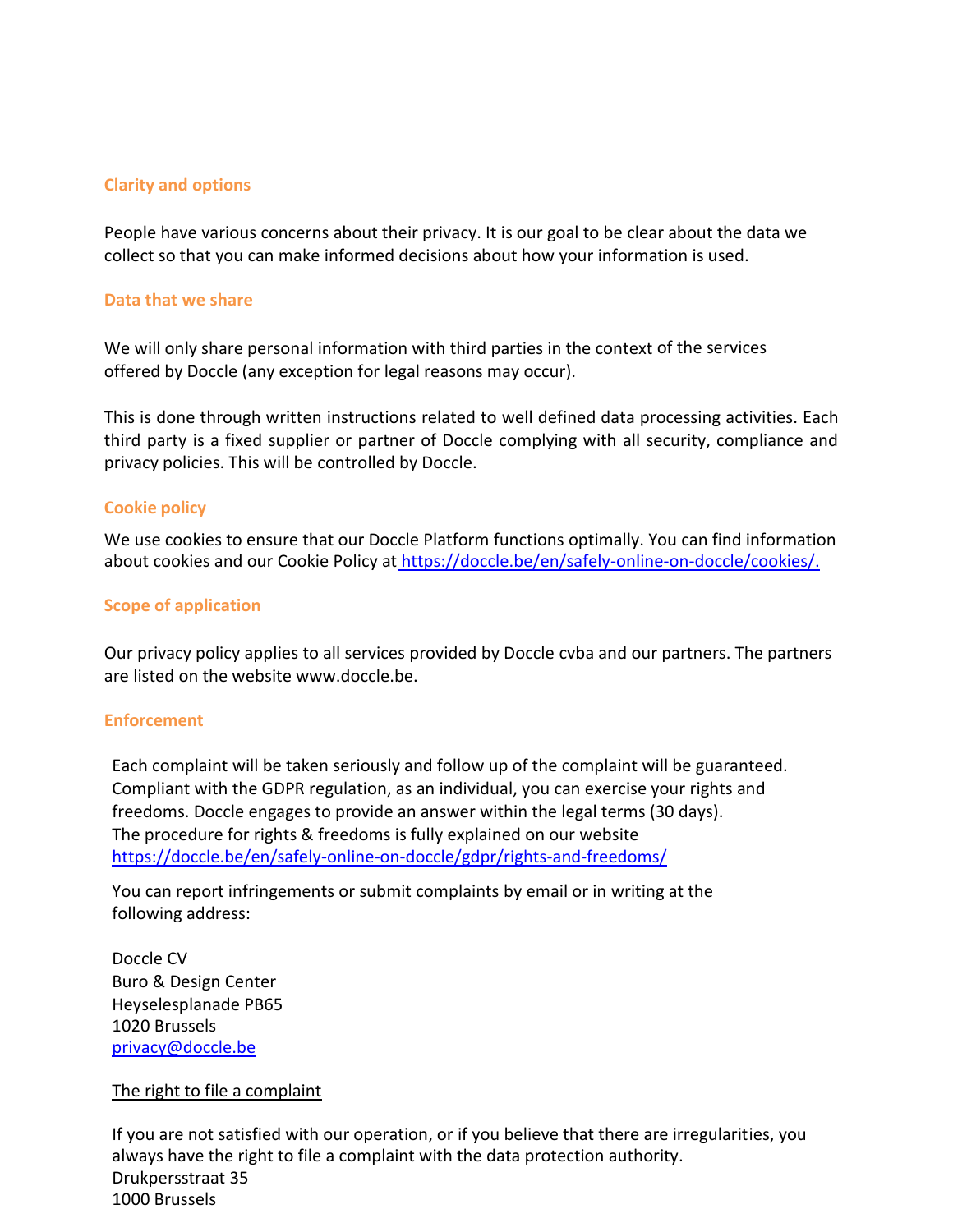#### **Clarity and options**

People have various concerns about their privacy. It is our goal to be clear about the data we collect so that you can make informed decisions about how your information is used.

#### **Data that we share**

We will only share personal information with third parties in the context of the services offered by Doccle (any exception for legal reasons may occur).

This is done through written instructions related to well defined data processing activities. Each third party is a fixed supplier or partner of Doccle complying with all security, compliance and privacy policies. This will be controlled by Doccle.

#### **Cookie policy**

We use cookies to ensure that our Doccle Platform functions optimally. You can find information about cookies and our Cookie Policy at [https://doccle.be/en/safely-online-on-doccle/cookies/.](https://doccle.be/en/safely-online-on-doccle/cookies/)

### **Scope of application**

Our privacy policy applies to all services provided by Doccle cvba and our partners. The partners are listed on the website www.doccle.be.

#### **Enforcement**

Each complaint will be taken seriously and follow up of the complaint will be guaranteed. Compliant with the GDPR regulation, as an individual, you can exercise your rights and freedoms. Doccle engages to provide an answer within the legal terms (30 days). The procedure for rights & freedoms is fully explained on our website <https://doccle.be/en/safely-online-on-doccle/gdpr/rights-and-freedoms/>

You can report infringements or submit complaints by email or in writing at the following address:

Doccle CV Buro & Design Center Heyselesplanade PB65 1020 Brussels [privacy@doccle.be](mailto:privacy@doccle.be)

#### The right to file a complaint

If you are not satisfied with our operation, or if you believe that there are irregularities, you always have the right to file a complaint with the data protection authority. Drukpersstraat 35 1000 Brussels